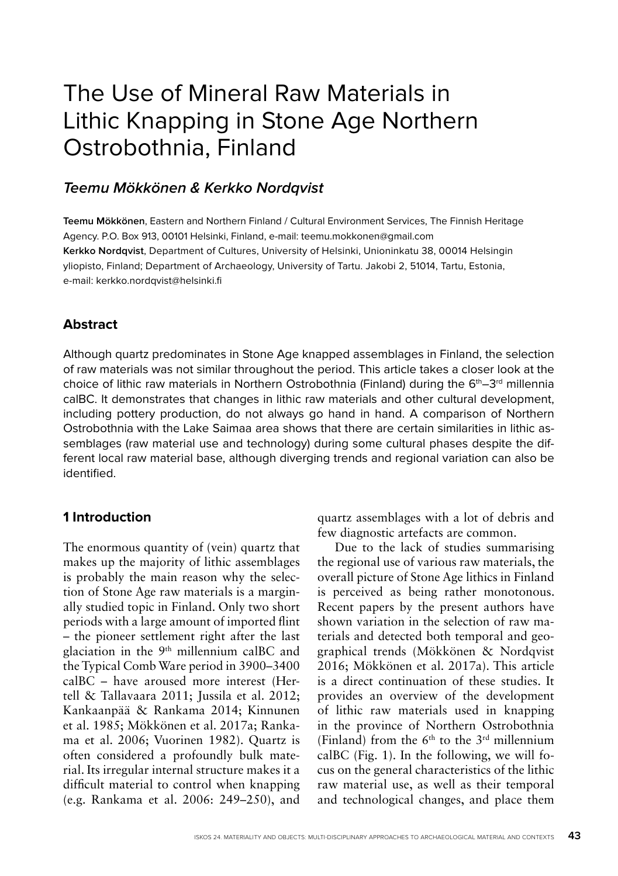# The Use of Mineral Raw Materials in Lithic Knapping in Stone Age Northern Ostrobothnia, Finland

# **Teemu Mökkönen & Kerkko Nordqvist**

**Teemu Mökkönen**, Eastern and Northern Finland / Cultural Environment Services, The Finnish Heritage Agency. P.O. Box 913, 00101 Helsinki, Finland, e-mail: teemu.mokkonen@gmail.com **Kerkko Nordqvist**, Department of Cultures, University of Helsinki, Unioninkatu 38, 00014 Helsingin yliopisto, Finland; Department of Archaeology, University of Tartu. Jakobi 2, 51014, Tartu, Estonia, e-mail: kerkko.nordqvist@helsinki.fi

# **Abstract**

Although quartz predominates in Stone Age knapped assemblages in Finland, the selection of raw materials was not similar throughout the period. This article takes a closer look at the choice of lithic raw materials in Northern Ostrobothnia (Finland) during the  $6<sup>th</sup>-3<sup>rd</sup>$  millennia calBC. It demonstrates that changes in lithic raw materials and other cultural development, including pottery production, do not always go hand in hand. A comparison of Northern Ostrobothnia with the Lake Saimaa area shows that there are certain similarities in lithic assemblages (raw material use and technology) during some cultural phases despite the different local raw material base, although diverging trends and regional variation can also be identified.

## **1 Introduction**

The enormous quantity of (vein) quartz that makes up the majority of lithic assemblages is probably the main reason why the selection of Stone Age raw materials is a marginally studied topic in Finland. Only two short periods with a large amount of imported flint – the pioneer settlement right after the last glaciation in the 9<sup>th</sup> millennium calBC and the Typical Comb Ware period in 3900–3400 calBC – have aroused more interest (Hertell & Tallavaara 2011; Jussila et al. 2012; Kankaanpää & Rankama 2014; Kinnunen et al. 1985; Mökkönen et al. 2017a; Rankama et al. 2006; Vuorinen 1982). Quartz is often considered a profoundly bulk material. Its irregular internal structure makes it a difficult material to control when knapping (e.g. Rankama et al. 2006: 249–250), and

quartz assemblages with a lot of debris and few diagnostic artefacts are common.

Due to the lack of studies summarising the regional use of various raw materials, the overall picture of Stone Age lithics in Finland is perceived as being rather monotonous. Recent papers by the present authors have shown variation in the selection of raw materials and detected both temporal and geographical trends (Mökkönen & Nordqvist 2016; Mökkönen et al. 2017a). This article is a direct continuation of these studies. It provides an overview of the development of lithic raw materials used in knapping in the province of Northern Ostrobothnia (Finland) from the  $6<sup>th</sup>$  to the  $3<sup>rd</sup>$  millennium calBC (Fig. 1). In the following, we will focus on the general characteristics of the lithic raw material use, as well as their temporal and technological changes, and place them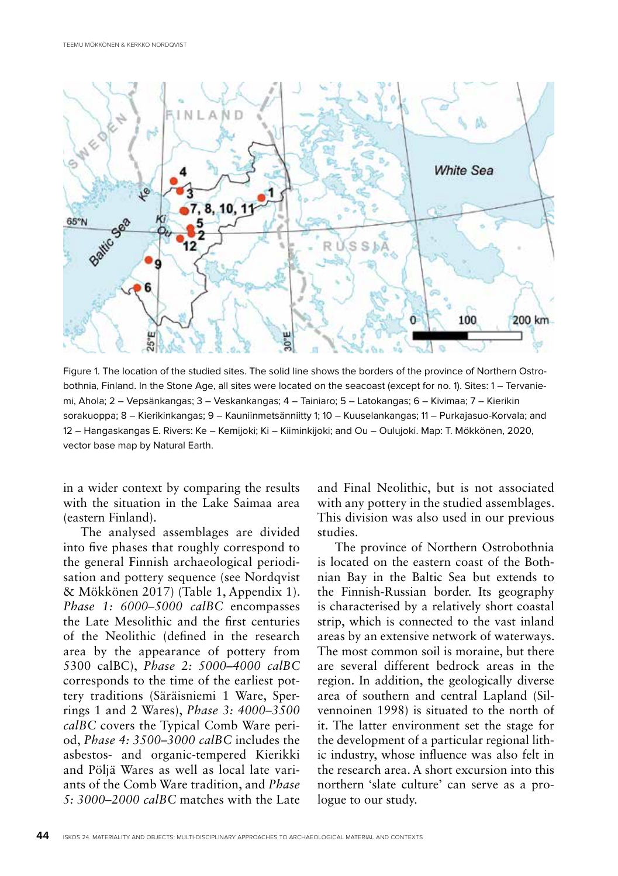

Figure 1. The location of the studied sites. The solid line shows the borders of the province of Northern Ostrobothnia, Finland. In the Stone Age, all sites were located on the seacoast (except for no. 1). Sites: 1 – Tervaniemi, Ahola; 2 – Vepsänkangas; 3 – Veskankangas; 4 – Tainiaro; 5 – Latokangas; 6 – Kivimaa; 7 – Kierikin sorakuoppa; 8 – Kierikinkangas; 9 – Kauniinmetsänniitty 1; 10 – Kuuselankangas; 11 – Purkajasuo-Korvala; and 12 – Hangaskangas E. Rivers: Ke – Kemijoki; Ki – Kiiminkijoki; and Ou – Oulujoki. Map: T. Mökkönen, 2020, vector base map by Natural Earth.

in a wider context by comparing the results with the situation in the Lake Saimaa area (eastern Finland).

The analysed assemblages are divided into five phases that roughly correspond to the general Finnish archaeological periodisation and pottery sequence (see Nordqvist & Mökkönen 2017) (Table 1, Appendix 1). *Phase 1: 6000–5000 calBC* encompasses the Late Mesolithic and the first centuries of the Neolithic (defined in the research area by the appearance of pottery from 5300 calBC), *Phase 2: 5000–4000 calBC* corresponds to the time of the earliest pottery traditions (Säräisniemi 1 Ware, Sperrings 1 and 2 Wares), *Phase 3: 4000–3500 calBC* covers the Typical Comb Ware period, *Phase 4: 3500–3000 calBC* includes the asbestos- and organic-tempered Kierikki and Pöljä Wares as well as local late variants of the Comb Ware tradition, and *Phase 5: 3000–2000 calBC* matches with the Late

and Final Neolithic, but is not associated with any pottery in the studied assemblages. This division was also used in our previous studies.

The province of Northern Ostrobothnia is located on the eastern coast of the Bothnian Bay in the Baltic Sea but extends to the Finnish-Russian border. Its geography is characterised by a relatively short coastal strip, which is connected to the vast inland areas by an extensive network of waterways. The most common soil is moraine, but there are several different bedrock areas in the region. In addition, the geologically diverse area of southern and central Lapland (Silvennoinen 1998) is situated to the north of it. The latter environment set the stage for the development of a particular regional lithic industry, whose influence was also felt in the research area. A short excursion into this northern 'slate culture' can serve as a prologue to our study.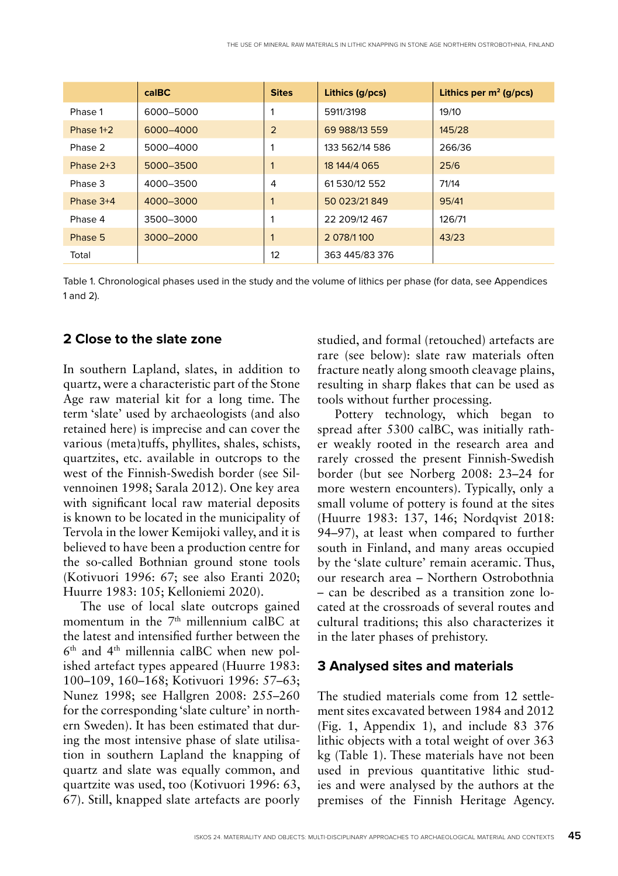|             | $ca$ $BC$ | <b>Sites</b> | Lithics (g/pcs) | Lithics per $m^2$ (g/pcs) |
|-------------|-----------|--------------|-----------------|---------------------------|
| Phase 1     | 6000-5000 |              | 5911/3198       | 19/10                     |
| Phase $1+2$ | 6000-4000 | 2            | 69 988/13 559   | 145/28                    |
| Phase 2     | 5000-4000 |              | 133 562/14 586  | 266/36                    |
| Phase $2+3$ | 5000-3500 |              | 18 144/4 065    | 25/6                      |
| Phase 3     | 4000-3500 | 4            | 61 530/12 552   | 71/14                     |
| Phase $3+4$ | 4000-3000 |              | 50 023/21 849   | 95/41                     |
| Phase 4     | 3500-3000 | 1            | 22 209/12 467   | 126/71                    |
| Phase 5     | 3000-2000 |              | 2 078/1100      | 43/23                     |
| Total       |           | 12           | 363 445/83 376  |                           |

Table 1. Chronological phases used in the study and the volume of lithics per phase (for data, see Appendices 1 and 2).

## **2 Close to the slate zone**

In southern Lapland, slates, in addition to quartz, were a characteristic part of the Stone Age raw material kit for a long time. The term 'slate' used by archaeologists (and also retained here) is imprecise and can cover the various (meta)tuffs, phyllites, shales, schists, quartzites, etc. available in outcrops to the west of the Finnish-Swedish border (see Silvennoinen 1998; Sarala 2012). One key area with significant local raw material deposits is known to be located in the municipality of Tervola in the lower Kemijoki valley, and it is believed to have been a production centre for the so-called Bothnian ground stone tools (Kotivuori 1996: 67; see also Eranti 2020; Huurre 1983: 105; Kelloniemi 2020).

The use of local slate outcrops gained momentum in the  $7<sup>th</sup>$  millennium calBC at the latest and intensified further between the 6th and 4th millennia calBC when new polished artefact types appeared (Huurre 1983: 100–109, 160–168; Kotivuori 1996: 57–63; Nunez 1998; see Hallgren 2008: 255–260 for the corresponding 'slate culture' in northern Sweden). It has been estimated that during the most intensive phase of slate utilisation in southern Lapland the knapping of quartz and slate was equally common, and quartzite was used, too (Kotivuori 1996: 63, 67). Still, knapped slate artefacts are poorly

studied, and formal (retouched) artefacts are rare (see below): slate raw materials often fracture neatly along smooth cleavage plains, resulting in sharp flakes that can be used as tools without further processing.

Pottery technology, which began to spread after 5300 calBC, was initially rather weakly rooted in the research area and rarely crossed the present Finnish-Swedish border (but see Norberg 2008: 23–24 for more western encounters). Typically, only a small volume of pottery is found at the sites (Huurre 1983: 137, 146; Nordqvist 2018: 94–97), at least when compared to further south in Finland, and many areas occupied by the 'slate culture' remain aceramic. Thus, our research area – Northern Ostrobothnia – can be described as a transition zone located at the crossroads of several routes and cultural traditions; this also characterizes it in the later phases of prehistory.

#### **3 Analysed sites and materials**

The studied materials come from 12 settlement sites excavated between 1984 and 2012 (Fig. 1, Appendix 1), and include 83 376 lithic objects with a total weight of over 363 kg (Table 1). These materials have not been used in previous quantitative lithic studies and were analysed by the authors at the premises of the Finnish Heritage Agency.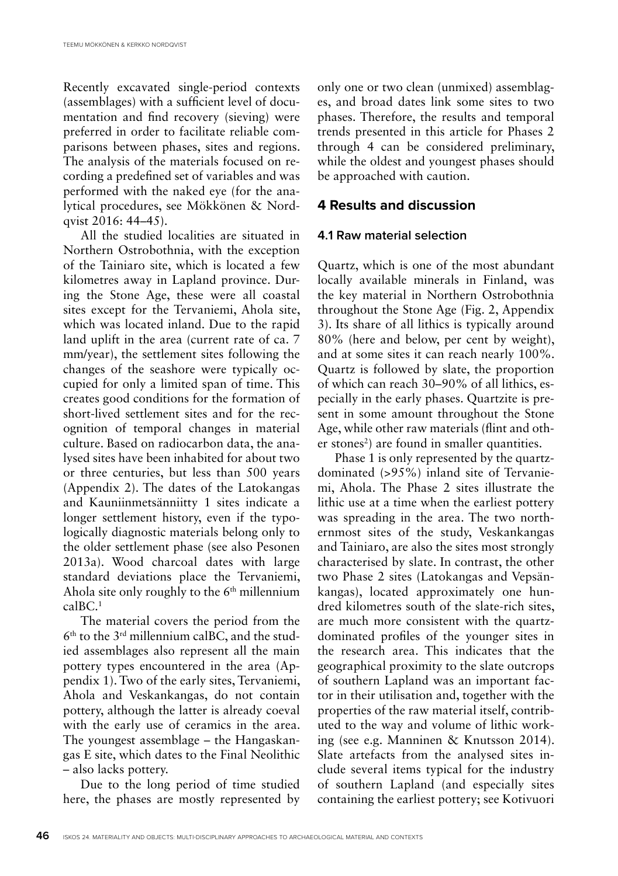Recently excavated single-period contexts (assemblages) with a sufficient level of documentation and find recovery (sieving) were preferred in order to facilitate reliable comparisons between phases, sites and regions. The analysis of the materials focused on recording a predefined set of variables and was performed with the naked eye (for the analytical procedures, see Mökkönen & Nordqvist 2016: 44–45).

All the studied localities are situated in Northern Ostrobothnia, with the exception of the Tainiaro site, which is located a few kilometres away in Lapland province. During the Stone Age, these were all coastal sites except for the Tervaniemi, Ahola site, which was located inland. Due to the rapid land uplift in the area (current rate of ca. 7 mm/year), the settlement sites following the changes of the seashore were typically occupied for only a limited span of time. This creates good conditions for the formation of short-lived settlement sites and for the recognition of temporal changes in material culture. Based on radiocarbon data, the analysed sites have been inhabited for about two or three centuries, but less than 500 years (Appendix 2). The dates of the Latokangas and Kauniinmetsänniitty 1 sites indicate a longer settlement history, even if the typologically diagnostic materials belong only to the older settlement phase (see also Pesonen 2013a). Wood charcoal dates with large standard deviations place the Tervaniemi, Ahola site only roughly to the  $6<sup>th</sup>$  millennium calBC.1

The material covers the period from the 6th to the 3rd millennium calBC, and the studied assemblages also represent all the main pottery types encountered in the area (Appendix 1). Two of the early sites, Tervaniemi, Ahola and Veskankangas, do not contain pottery, although the latter is already coeval with the early use of ceramics in the area. The youngest assemblage – the Hangaskangas E site, which dates to the Final Neolithic – also lacks pottery.

Due to the long period of time studied here, the phases are mostly represented by only one or two clean (unmixed) assemblages, and broad dates link some sites to two phases. Therefore, the results and temporal trends presented in this article for Phases 2 through 4 can be considered preliminary, while the oldest and youngest phases should be approached with caution.

## **4 Results and discussion**

#### **4.1 Raw material selection**

Quartz, which is one of the most abundant locally available minerals in Finland, was the key material in Northern Ostrobothnia throughout the Stone Age (Fig. 2, Appendix 3). Its share of all lithics is typically around 80% (here and below, per cent by weight), and at some sites it can reach nearly 100%. Quartz is followed by slate, the proportion of which can reach 30–90% of all lithics, especially in the early phases. Quartzite is present in some amount throughout the Stone Age, while other raw materials (flint and other stones<sup>2</sup>) are found in smaller quantities.

Phase 1 is only represented by the quartzdominated (>95%) inland site of Tervaniemi, Ahola. The Phase 2 sites illustrate the lithic use at a time when the earliest pottery was spreading in the area. The two northernmost sites of the study, Veskankangas and Tainiaro, are also the sites most strongly characterised by slate. In contrast, the other two Phase 2 sites (Latokangas and Vepsänkangas), located approximately one hundred kilometres south of the slate-rich sites, are much more consistent with the quartzdominated profiles of the younger sites in the research area. This indicates that the geographical proximity to the slate outcrops of southern Lapland was an important factor in their utilisation and, together with the properties of the raw material itself, contributed to the way and volume of lithic working (see e.g. Manninen & Knutsson 2014). Slate artefacts from the analysed sites include several items typical for the industry of southern Lapland (and especially sites containing the earliest pottery; see Kotivuori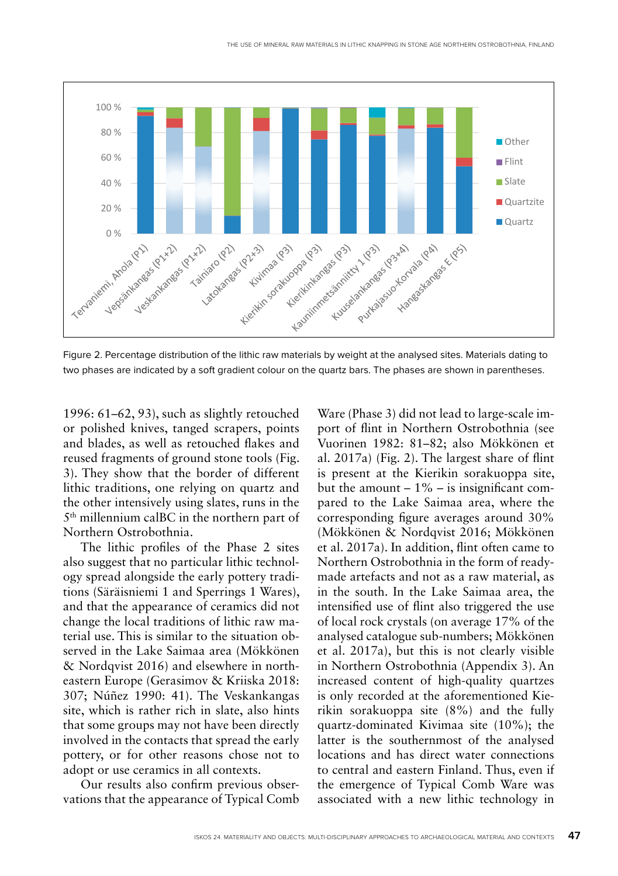

Fig. 2. Percentage distribution of the lithic raw materials by weight at the analysed sites. Materials dating to two phases are indicated by a soft gradient colour on the quartz bars. The phases are shown in parentheses. two phases are indicated by a soft gradient colour on the phases are shown in the phases are shown in  $\alpha$ 

1996: 61–62, 93), such as slightly retouched or polished knives, tanged scrapers, points and blades, as well as retouched flakes and reused fragments of ground stone tools (Fig. 3). They show that the border of different lithic traditions, one relying on quartz and the other intensively using slates, runs in the 5<sup>th</sup> millennium calBC in the northern part of Northern Ostrobothnia.

The lithic profiles of the Phase 2 sites also suggest that no particular lithic technology spread alongside the early pottery traditions (Säräisniemi 1 and Sperrings 1 Wares), and that the appearance of ceramics did not change the local traditions of lithic raw material use. This is similar to the situation observed in the Lake Saimaa area (Mökkönen & Nordqvist 2016) and elsewhere in northeastern Europe (Gerasimov & Kriiska 2018: 307; Núñez 1990: 41). The Veskankangas site, which is rather rich in slate, also hints that some groups may not have been directly involved in the contacts that spread the early pottery, or for other reasons chose not to adopt or use ceramics in all contexts.

Our results also confirm previous observations that the appearance of Typical Comb Ware (Phase 3) did not lead to large-scale import of flint in Northern Ostrobothnia (see Vuorinen 1982: 81–82; also Mökkönen et al. 2017a) (Fig. 2). The largest share of flint is present at the Kierikin sorakuoppa site, but the amount  $-1\%$  – is insignificant compared to the Lake Saimaa area, where the corresponding figure averages around 30% (Mökkönen & Nordqvist 2016; Mökkönen et al. 2017a). In addition, flint often came to Northern Ostrobothnia in the form of readymade artefacts and not as a raw material, as in the south. In the Lake Saimaa area, the intensified use of flint also triggered the use of local rock crystals (on average 17% of the analysed catalogue sub-numbers; Mökkönen et al. 2017a), but this is not clearly visible in Northern Ostrobothnia (Appendix 3). An increased content of high-quality quartzes is only recorded at the aforementioned Kierikin sorakuoppa site (8%) and the fully quartz-dominated Kivimaa site (10%); the latter is the southernmost of the analysed locations and has direct water connections to central and eastern Finland. Thus, even if the emergence of Typical Comb Ware was associated with a new lithic technology in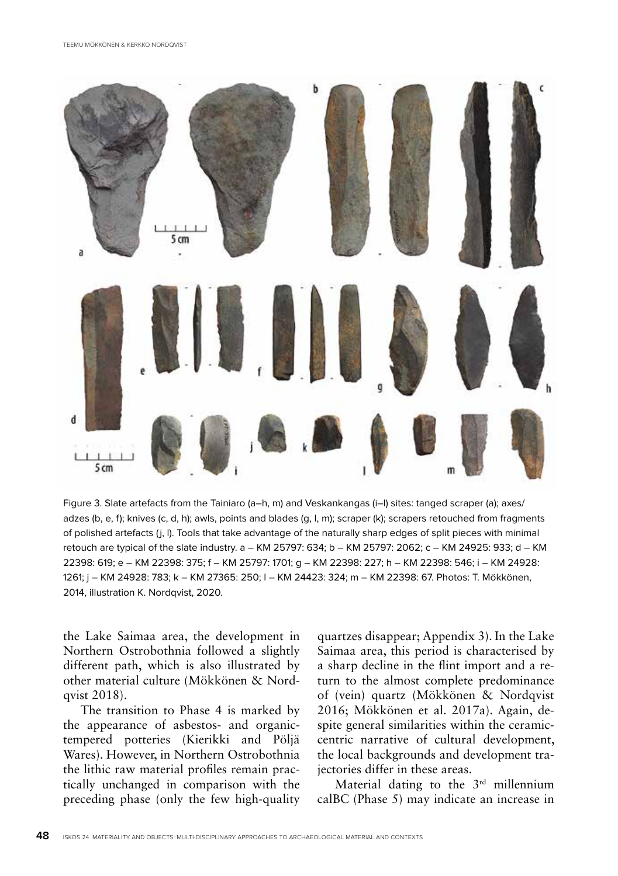

Figure 3. Slate artefacts from the Tainiaro (a–h, m) and Veskankangas (i–l) sites: tanged scraper (a); axes/ adzes (b, e, f); knives (c, d, h); awls, points and blades (g, l, m); scraper (k); scrapers retouched from fragments of polished artefacts (j, l). Tools that take advantage of the naturally sharp edges of split pieces with minimal retouch are typical of the slate industry. a – KM 25797: 634; b – KM 25797: 2062; c – KM 24925: 933; d – KM 22398: 619; e – KM 22398: 375; f – KM 25797: 1701; g – KM 22398: 227; h – KM 22398: 546; i – KM 24928: 1261; j – KM 24928: 783; k – KM 27365: 250; l – KM 24423: 324; m – KM 22398: 67. Photos: T. Mökkönen, 2014, illustration K. Nordqvist, 2020.

the Lake Saimaa area, the development in Northern Ostrobothnia followed a slightly different path, which is also illustrated by other material culture (Mökkönen & Nordqvist 2018).

The transition to Phase 4 is marked by the appearance of asbestos- and organictempered potteries (Kierikki and Pöljä Wares). However, in Northern Ostrobothnia the lithic raw material profiles remain practically unchanged in comparison with the preceding phase (only the few high-quality quartzes disappear; Appendix 3). In the Lake Saimaa area, this period is characterised by a sharp decline in the flint import and a return to the almost complete predominance of (vein) quartz (Mökkönen & Nordqvist 2016; Mökkönen et al. 2017a). Again, despite general similarities within the ceramiccentric narrative of cultural development, the local backgrounds and development trajectories differ in these areas.

Material dating to the 3<sup>rd</sup> millennium calBC (Phase 5) may indicate an increase in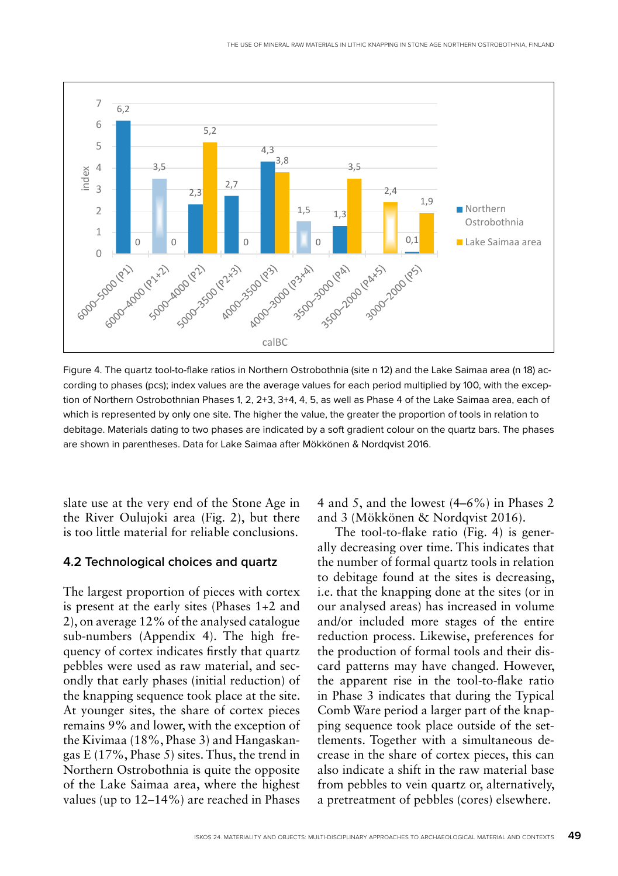

Figure 4. The quartz tool-to-flake ratios in Northern Ostrobothnia (site n 12) and the Lake Saimaa area (n 18) according to phases (pcs); index values are the average values for each period multiplied by 100, with the exception of Northern Ostrobothnian Phases 1, 2, 2+3, 3+4, 4, 5, as well as Phase 4 of the Lake Saimaa area, each of according to phases (pcs); index values are the average values for each period multiplied by 100, with the which is represented by only one site. The higher the value, the greater the proportion of tools in relation to which is represented by only one site. The higher the value, the greater the proportion or tools in relation to<br>debitage. Materials dating to two phases are indicated by a soft gradient colour on the quartz bars. The phase are shown in parentheses. Data for Lake Saimaa after Mökkönen & Nordqvist 2016.

slate use at the very end of the Stone Age in the River Oulujoki area (Fig. 2), but there is too little material for reliable conclusions.

#### **4.2 Technological choices and quartz**

The largest proportion of pieces with cortex is present at the early sites (Phases 1+2 and 2), on average 12% of the analysed catalogue sub-numbers (Appendix 4). The high frequency of cortex indicates firstly that quartz pebbles were used as raw material, and secondly that early phases (initial reduction) of the knapping sequence took place at the site. At younger sites, the share of cortex pieces remains 9% and lower, with the exception of the Kivimaa (18%, Phase 3) and Hangaskangas E (17%, Phase 5) sites. Thus, the trend in Northern Ostrobothnia is quite the opposite of the Lake Saimaa area, where the highest values (up to 12–14%) are reached in Phases

4 and 5, and the lowest (4–6%) in Phases 2 and 3 (Mökkönen & Nordqvist 2016).

The tool-to-flake ratio (Fig. 4) is generally decreasing over time. This indicates that the number of formal quartz tools in relation to debitage found at the sites is decreasing, i.e. that the knapping done at the sites (or in our analysed areas) has increased in volume and/or included more stages of the entire reduction process. Likewise, preferences for the production of formal tools and their discard patterns may have changed. However, the apparent rise in the tool-to-flake ratio in Phase 3 indicates that during the Typical Comb Ware period a larger part of the knapping sequence took place outside of the settlements. Together with a simultaneous decrease in the share of cortex pieces, this can also indicate a shift in the raw material base from pebbles to vein quartz or, alternatively, a pretreatment of pebbles (cores) elsewhere.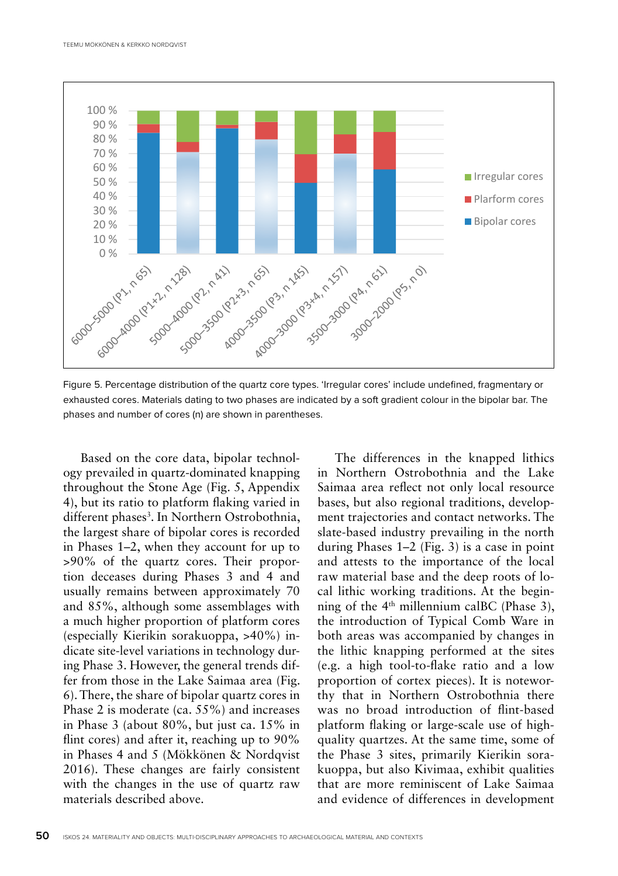

Figure 5. Percentage distribution of the quartz core types. 'Irregular cores' include undefined, fragmentary or rigure 5. Percentage distribution of the quartz core types. In egular cores include undefined, fragmentary or<br>exhausted cores. Materials dating to two phases are indicated by a soft gradient colour in the bipolar bar. The phases and number of cores (n) are shown in parentheses.

Based on the core data, bipolar technology prevailed in quartz-dominated knapping throughout the Stone Age (Fig. 5, Appendix 4), but its ratio to platform flaking varied in different phases<sup>3</sup>. In Northern Ostrobothnia, the largest share of bipolar cores is recorded in Phases 1–2, when they account for up to >90% of the quartz cores. Their proportion deceases during Phases 3 and 4 and 50 usually remains between approximately 70 40 and 85%, although some assemblages with a much higher proportion of platform cores (especially Kierikin sorakuoppa, >40%) in-20 dicate site-level variations in technology during Phase 3. However, the general trends differ from those in the Lake Saimaa area (Fig. 6). There, the share of bipolar quartz cores in Phase 2 is moderate (ca. 55%) and increases in Phase 3 (about 80%, but just ca. 15% in flint cores) and after it, reaching up to 90% in Phases 4 and 5 (Mökkönen & Nordqvist 2016). These changes are fairly consistent with the changes in the use of quartz raw materials described above. %

The differences in the knapped lithics in Northern Ostrobothnia and the Lake Saimaa area reflect not only local resource bases, but also regional traditions, developbases, but also regional traditions, develop-<br>ment trajectories and contact networks. The slate-based industry prevailing in the north during Phases 1–2 (Fig. 3) is a case in point and attests to the importance of the local raw material base and the deep roots of local lithic working traditions. At the beginning of the  $4<sup>th</sup>$  millennium calBC (Phase 3), the introduction of Typical Comb Ware in both areas was accompanied by changes in the lithic knapping performed at the sites (e.g. a high tool-to-flake ratio and a low proportion of cortex pieces). It is noteworthy that in Northern Ostrobothnia there was no broad introduction of flint-based platform flaking or large-scale use of highquality quartzes. At the same time, some of the Phase 3 sites, primarily Kierikin sorakuoppa, but also Kivimaa, exhibit qualities that are more reminiscent of Lake Saimaa materials described above. The end of and evidence of differences in development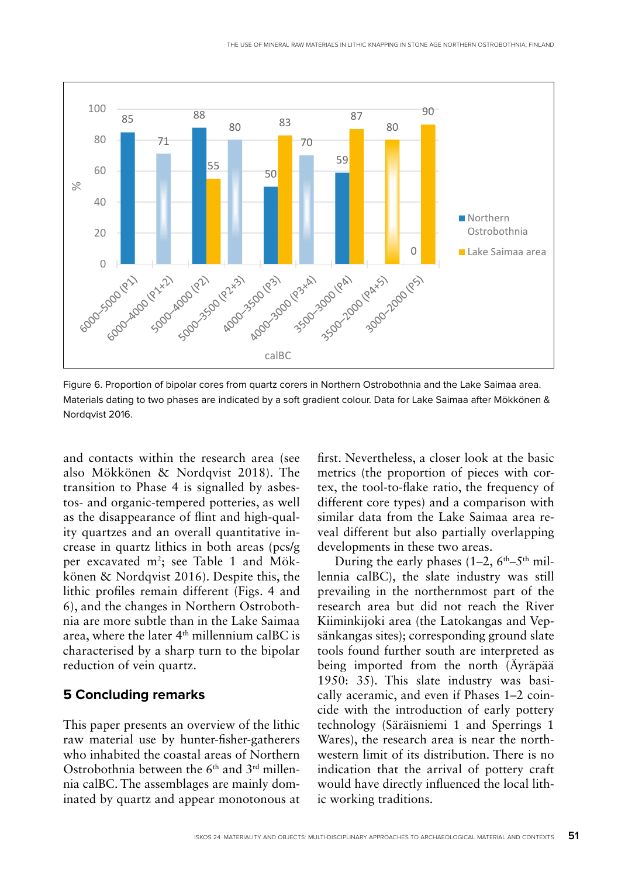

Figure 6. Proportion of bipolar cores from quartz corers in Northern Ostrobothnia and the Lake Saimaa area. Materials dating to two phases are indicated by a soft gradient colour. Data for Lake Saimaa after Mökkönen & Nordqvist 2016. Mordqvist 2016.<br>Nationals dating to two phases are indicated by a soft gradient colour. Data for Lake Saimaa after Mökkönen Mö

and contacts within the research area (see also Mökkönen & Nordqvist 2018). The transition to Phase 4 is signalled by asbestos- and organic-tempered potteries, as well as the disappearance of flint and high-quality quartzes and an overall quantitative increase in quartz lithics in both areas (pcs/g per excavated m<sup>2</sup>; see Table 1 and Mökkönen & Nordqvist 2016). Despite this, the lithic profiles remain different (Figs. 4 and 6), and the changes in Northern Ostrobothnia are more subtle than in the Lake Saimaa area, where the later 4<sup>th</sup> millennium calBC is characterised by a sharp turn to the bipolar reduction of vein quartz.

#### **5 Concluding remarks**

This paper presents an overview of the lithic raw material use by hunter-fisher-gatherers who inhabited the coastal areas of Northern Ostrobothnia between the 6th and 3rd millennia calBC. The assemblages are mainly dominated by quartz and appear monotonous at first. Nevertheless, a closer look at the basic metrics (the proportion of pieces with cortex, the tool-to-flake ratio, the frequency of different core types) and a comparison with similar data from the Lake Saimaa area reveal different but also partially overlapping developments in these two areas.

During the early phases  $(1-2, 6<sup>th</sup>-5<sup>th</sup>$  millennia calBC), the slate industry was still prevailing in the northernmost part of the research area but did not reach the River Kiiminkijoki area (the Latokangas and Vepsänkangas sites); corresponding ground slate tools found further south are interpreted as being imported from the north (Äyräpää 1950: 35). This slate industry was basically aceramic, and even if Phases 1–2 coincide with the introduction of early pottery technology (Säräisniemi 1 and Sperrings 1 Wares), the research area is near the northwestern limit of its distribution. There is no indication that the arrival of pottery craft would have directly influenced the local lithic working traditions.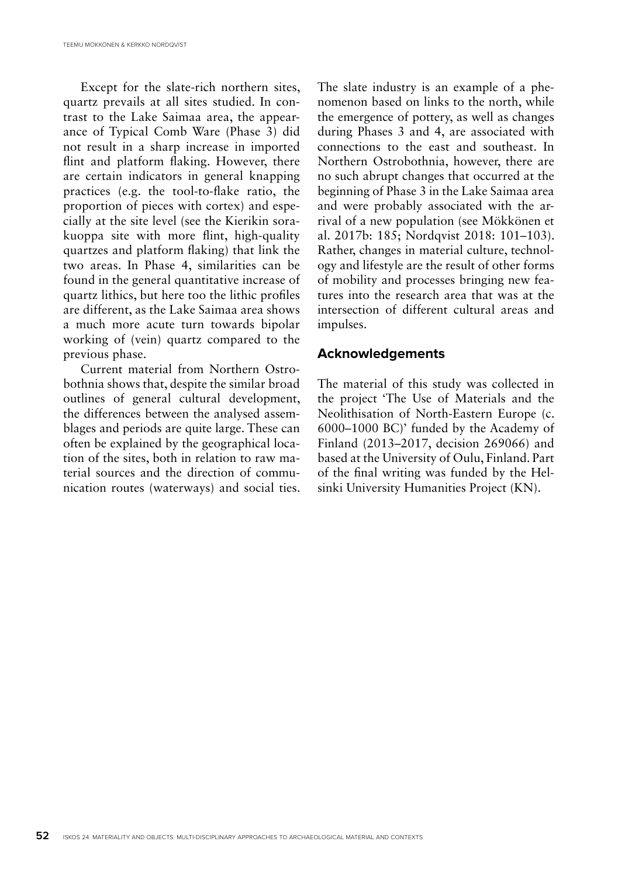Except for the slate-rich northern sites, quartz prevails at all sites studied. In contrast to the Lake Saimaa area, the appearance of Typical Comb Ware (Phase 3) did not result in a sharp increase in imported flint and platform flaking. However, there are certain indicators in general knapping practices (e.g. the tool-to-flake ratio, the proportion of pieces with cortex) and especially at the site level (see the Kierikin sorakuoppa site with more flint, high-quality quartzes and platform flaking) that link the two areas. In Phase 4, similarities can be found in the general quantitative increase of quartz lithics, but here too the lithic profiles are different, as the Lake Saimaa area shows a much more acute turn towards bipolar working of (vein) quartz compared to the previous phase.

Current material from Northern Ostrobothnia shows that, despite the similar broad outlines of general cultural development, the differences between the analysed assemblages and periods are quite large. These can often be explained by the geographical location of the sites, both in relation to raw material sources and the direction of communication routes (waterways) and social ties.

The slate industry is an example of a phenomenon based on links to the north, while the emergence of pottery, as well as changes during Phases 3 and 4, are associated with connections to the east and southeast. In Northern Ostrobothnia, however, there are no such abrupt changes that occurred at the beginning of Phase 3 in the Lake Saimaa area and were probably associated with the arrival of a new population (see Mökkönen et al. 2017b: 185; Nordqvist 2018: 101–103). Rather, changes in material culture, technology and lifestyle are the result of other forms of mobility and processes bringing new features into the research area that was at the intersection of different cultural areas and impulses.

#### **Acknowledgements**

The material of this study was collected in the project 'The Use of Materials and the Neolithisation of North-Eastern Europe (c. 6000–1000 BC)' funded by the Academy of Finland (2013–2017, decision 269066) and based at the University of Oulu, Finland. Part of the final writing was funded by the Helsinki University Humanities Project (KN).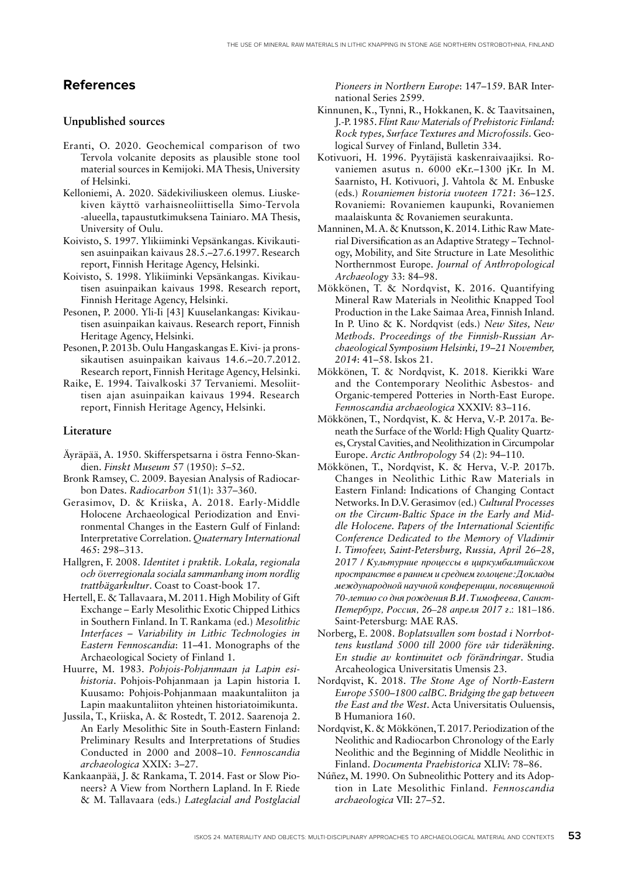## **References**

#### **Unpublished sources**

- Eranti, O. 2020. Geochemical comparison of two Tervola volcanite deposits as plausible stone tool material sources in Kemijoki. MA Thesis, University of Helsinki.
- Kelloniemi, A. 2020. Sädekiviliuskeen olemus. Liuskekiven käyttö varhaisneoliittisella Simo-Tervola -alueella, tapaustutkimuksena Tainiaro. MA Thesis, University of Oulu.
- Koivisto, S. 1997. Ylikiiminki Vepsänkangas. Kivikautisen asuinpaikan kaivaus 28.5.–27.6.1997. Research report, Finnish Heritage Agency, Helsinki.
- Koivisto, S. 1998. Ylikiiminki Vepsänkangas. Kivikautisen asuinpaikan kaivaus 1998. Research report, Finnish Heritage Agency, Helsinki.
- Pesonen, P. 2000. Yli-Ii [43] Kuuselankangas: Kivikautisen asuinpaikan kaivaus. Research report, Finnish Heritage Agency, Helsinki.
- Pesonen, P. 2013b. Oulu Hangaskangas E. Kivi- ja pronssikautisen asuinpaikan kaivaus 14.6.–20.7.2012. Research report, Finnish Heritage Agency, Helsinki.
- Raike, E. 1994. Taivalkoski 37 Tervaniemi. Mesoliittisen ajan asuinpaikan kaivaus 1994. Research report, Finnish Heritage Agency, Helsinki.

#### **Literature**

- Äyräpää, A. 1950. Skifferspetsarna i östra Fenno-Skandien. *Finskt Museum* 57 (1950): 5–52.
- Bronk Ramsey, C. 2009. Bayesian Analysis of Radiocarbon Dates. *Radiocarbon* 51(1): 337–360.
- Gerasimov, D. & Kriiska, A. 2018. Early-Middle Holocene Archaeological Periodization and Environmental Changes in the Eastern Gulf of Finland: Interpretative Correlation. *Quaternary International* 465: 298–313.
- Hallgren, F. 2008. *Identitet i praktik. Lokala, regionala och överregionala sociala sammanhang inom nordlig trattbägarkultur*. Coast to Coast-book 17.
- Hertell, E. & Tallavaara, M. 2011. High Mobility of Gift Exchange – Early Mesolithic Exotic Chipped Lithics in Southern Finland. In T. Rankama (ed.) *Mesolithic Interfaces – Variability in Lithic Technologies in Eastern Fennoscandia*: 11–41. Monographs of the Archaeological Society of Finland 1.
- Huurre, M. 1983. *Pohjois-Pohjanmaan ja Lapin esihistoria*. Pohjois-Pohjanmaan ja Lapin historia I. Kuusamo: Pohjois-Pohjanmaan maakuntaliiton ja Lapin maakuntaliiton yhteinen historiatoimikunta.
- Jussila, T., Kriiska, A. & Rostedt, T. 2012. Saarenoja 2. An Early Mesolithic Site in South-Eastern Finland: Preliminary Results and Interpretations of Studies Conducted in 2000 and 2008–10. *Fennoscandia archaeologica* XXIX: 3–27.
- Kankaanpää, J. & Rankama, T. 2014. Fast or Slow Pioneers? A View from Northern Lapland. In F. Riede & M. Tallavaara (eds.) *Lateglacial and Postglacial*

*Pioneers in Northern Europe*: 147–159. BAR International Series 2599.

- Kinnunen, K., Tynni, R., Hokkanen, K. & Taavitsainen, J.-P. 1985. *Flint Raw Materials of Prehistoric Finland: Rock types, Surface Textures and Microfossils*. Geological Survey of Finland, Bulletin 334.
- Kotivuori, H. 1996. Pyytäjistä kaskenraivaajiksi. Rovaniemen asutus n. 6000 eKr.–1300 jKr. In M. Saarnisto, H. Kotivuori, J. Vahtola & M. Enbuske (eds.) *Rovaniemen historia vuoteen 1721*: 36–125. Rovaniemi: Rovaniemen kaupunki, Rovaniemen maalaiskunta & Rovaniemen seurakunta.
- Manninen, M. A. & Knutsson, K. 2014. Lithic Raw Material Diversification as an Adaptive Strategy – Technology, Mobility, and Site Structure in Late Mesolithic Northernmost Europe. *Journal of Anthropological Archaeology* 33: 84–98.
- Mökkönen, T. & Nordqvist, K. 2016. Quantifying Mineral Raw Materials in Neolithic Knapped Tool Production in the Lake Saimaa Area, Finnish Inland. In P. Uino & K. Nordqvist (eds.) *New Sites, New Methods. Proceedings of the Finnish-Russian Archaeological Symposium Helsinki, 19–21 November, 2014*: 41–58. Iskos 21.
- Mökkönen, T. & Nordqvist, K. 2018. Kierikki Ware and the Contemporary Neolithic Asbestos- and Organic-tempered Potteries in North-East Europe. *Fennoscandia archaeologica* XXXIV: 83–116.
- Mökkönen, T., Nordqvist, K. & Herva, V.-P. 2017a. Beneath the Surface of the World: High Quality Quartzes, Crystal Cavities, and Neolithization in Circumpolar Europe. *Arctic Anthropology* 54 (2): 94–110.
- Mökkönen, T., Nordqvist, K. & Herva, V.-P. 2017b. Changes in Neolithic Lithic Raw Materials in Eastern Finland: Indications of Changing Contact Networks. In D.V. Gerasimov (ed.) *Cultural Processes on the Circum-Baltic Space in the Early and Middle Holocene. Papers of the International Scientific Conference Dedicated to the Memory of Vladimir I. Timofeev, Saint-Petersburg, Russia, April 26–28, 2017 / Культурние процессы в циркумбалтийском пространстве в раннем и среднем голоцене: Доклады международной научной конференции, посвященной 70-летию со дня рождения В.И. Тимофеева, Санкт-Петербург, Россия, 26–28 апреля 2017 г*.: 181–186. Saint-Petersburg: MAE RAS.
- Norberg, E. 2008. *Boplatsvallen som bostad i Norrbottens kustland 5000 till 2000 före vår tideräkning. En studie av kontinuitet och förändringar*. Studia Arcaheologica Universitatis Umensis 23.
- Nordqvist, K. 2018. *The Stone Age of North-Eastern Europe 5500–1800 calBC. Bridging the gap between the East and the West*. Acta Universitatis Ouluensis, B Humaniora 160.
- Nordqvist, K. & Mökkönen, T. 2017. Periodization of the Neolithic and Radiocarbon Chronology of the Early Neolithic and the Beginning of Middle Neolithic in Finland. *Documenta Praehistorica* XLIV: 78–86.
- Núñez, M. 1990. On Subneolithic Pottery and its Adoption in Late Mesolithic Finland. *Fennoscandia archaeologica* VII: 27–52.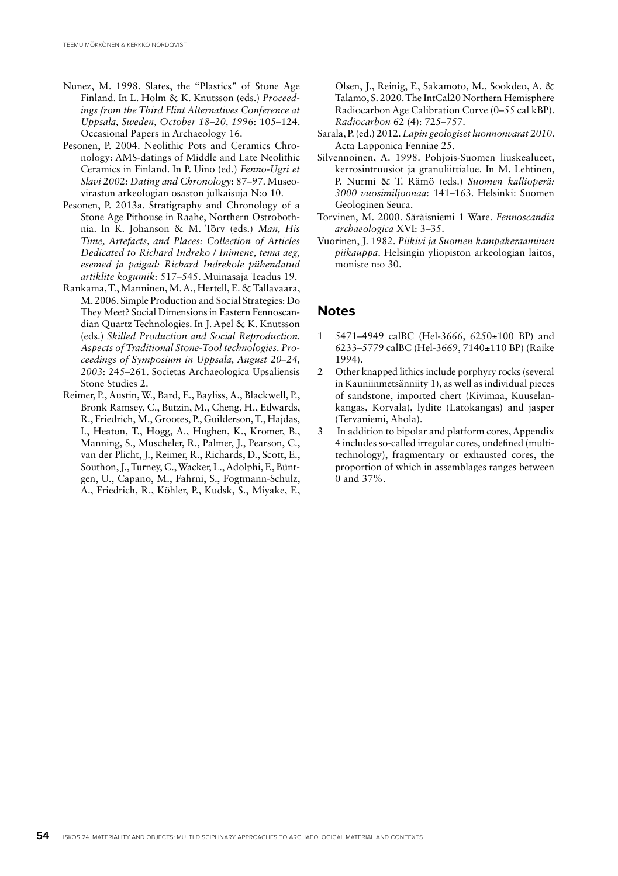- Nunez, M. 1998. Slates, the "Plastics" of Stone Age Finland. In L. Holm & K. Knutsson (eds.) *Proceedings from the Third Flint Alternatives Conference at Uppsala, Sweden, October 18–20, 1996*: 105–124. Occasional Papers in Archaeology 16.
- Pesonen, P. 2004. Neolithic Pots and Ceramics Chronology: AMS-datings of Middle and Late Neolithic Ceramics in Finland. In P. Uino (ed.) *Fenno-Ugri et Slavi 2002: Dating and Chronology*: 87–97. Museoviraston arkeologian osaston julkaisuja N:o 10.
- Pesonen, P. 2013a. Stratigraphy and Chronology of a Stone Age Pithouse in Raahe, Northern Ostrobothnia. In K. Johanson & M. Tõrv (eds.) *Man, His Time, Artefacts, and Places: Collection of Articles Dedicated to Richard Indreko / Inimene, tema aeg, esemed ja paigad: Richard Indrekole pühendatud artiklite kogumik*: 517–545. Muinasaja Teadus 19.
- Rankama, T., Manninen, M. A., Hertell, E. & Tallavaara, M. 2006. Simple Production and Social Strategies: Do They Meet? Social Dimensions in Eastern Fennoscandian Quartz Technologies. In J. Apel & K. Knutsson (eds.) *Skilled Production and Social Reproduction. Aspects of Traditional Stone-Tool technologies. Proceedings of Symposium in Uppsala, August 20–24, 2003*: 245–261. Societas Archaeologica Upsaliensis Stone Studies 2.
- Reimer, P., Austin, W., Bard, E., Bayliss, A., Blackwell, P., Bronk Ramsey, C., Butzin, M., Cheng, H., Edwards, R., Friedrich, M., Grootes, P., Guilderson, T., Hajdas, I., Heaton, T., Hogg, A., Hughen, K., Kromer, B., Manning, S., Muscheler, R., Palmer, J., Pearson, C., van der Plicht, J., Reimer, R., Richards, D., Scott, E., Southon, J., Turney, C., Wacker, L., Adolphi, F., Büntgen, U., Capano, M., Fahrni, S., Fogtmann-Schulz, A., Friedrich, R., Köhler, P., Kudsk, S., Miyake, F.,

Olsen, J., Reinig, F., Sakamoto, M., Sookdeo, A. & Talamo, S. 2020. The IntCal20 Northern Hemisphere Radiocarbon Age Calibration Curve (0–55 cal kBP). *Radiocarbon* 62 (4): 725–757.

- Sarala, P. (ed.) 2012. *Lapin geologiset luonnonvarat 2010*. Acta Lapponica Fenniae 25.
- Silvennoinen, A. 1998. Pohjois-Suomen liuskealueet, kerrosintruusiot ja granuliittialue. In M. Lehtinen, P. Nurmi & T. Rämö (eds.) *Suomen kallioperä: 3000 vuosimiljoonaa*: 141–163. Helsinki: Suomen Geologinen Seura.
- Torvinen, M. 2000. Säräisniemi 1 Ware. *Fennoscandia archaeologica* XVI: 3–35.
- Vuorinen, J. 1982. *Piikivi ja Suomen kampakeraaminen piikauppa*. Helsingin yliopiston arkeologian laitos, moniste n:o 30.

#### **Notes**

- 1 5471–4949 calBC (Hel-3666, 6250±100 BP) and 6233–5779 calBC (Hel-3669, 7140±110 BP) (Raike 1994).
- 2 Other knapped lithics include porphyry rocks (several in Kauniinmetsänniity 1), as well as individual pieces of sandstone, imported chert (Kivimaa, Kuuselankangas, Korvala), lydite (Latokangas) and jasper (Tervaniemi, Ahola).
- 3 In addition to bipolar and platform cores, Appendix 4 includes so-called irregular cores, undefined (multitechnology), fragmentary or exhausted cores, the proportion of which in assemblages ranges between 0 and 37%.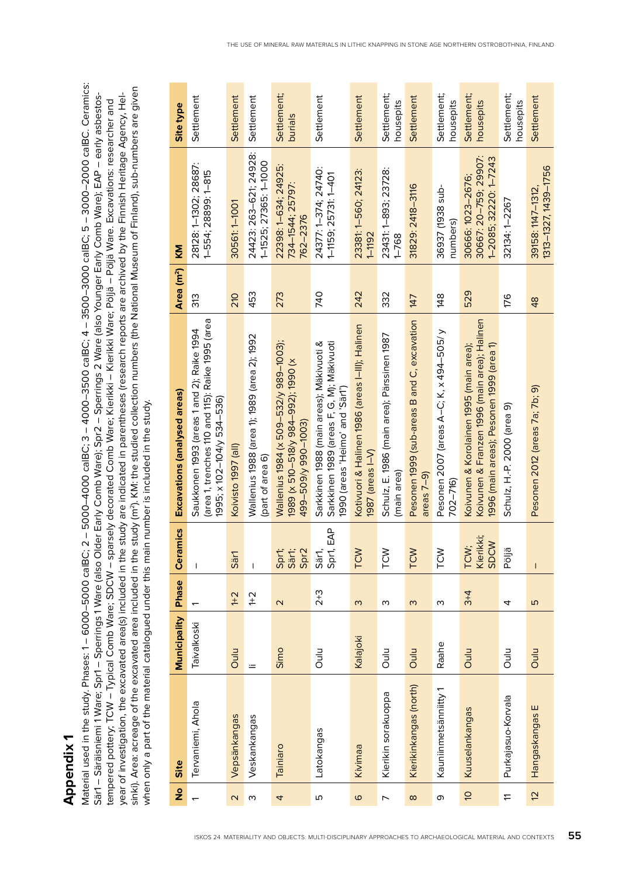**Appendix 1 Appendix 1**

Material used in the study. Phases: 1 – 6000–5000 calBC; 2 – 5000–4000 calBC; 3 – 4000–3500 calBC; 4 – 3500–3000 calBC; 5 – 3000–2000 calBC. Ceramics: Material used in the study. Phases: 1 – 6000–5000 calBC; 2 – 5000–4000 calBC; 3 – 4000–3500 calBC; 4 – 3500–3000 calBC; 5 – 3000–2000 calBC. Ceramics: sinki). Area: acreage of the excavated area included in the study (m2). KM: the studied collection numbers (the National Museum of Finland), sub-numbers are given sinki). Area: acreage of the excavated area included in the study (m<sup>2</sup>). KM: the studied collection numbers (the National Museum of Finland), sub-numbers are given Särl – Säräisniemi 1 Ware; Sprl – Sperrings 1 Ware (also Older Early Comb Ware); Spr2 – Sperrings 2 Ware (also Younger Early Comb Ware); EAP – early asbestosyear of investigation, the excavated area(s) included in the study are indicated in parentheses (research reports are archived by the Finnish Heritage Agency, Hel-Säräisniemi 1 Ware; Spr1 – Sperrings 1 Ware (also Older Early Comb Ware); Spr2 – Sperrings 2 Ware (also Younger Early Comb Ware); EAP – early asbestosyear of investigation, the excavated area(s) included in the study are indicated in parentheses (research reports are archived by the Finnish Heritage Agency, Heltempered pottery; TCW – Typical Comb Ware; SDCW – sparsely decorated Comb Ware; Kierikki – Kierikki Ware; Pöljä – Pöljä Vare. Excavations: researcher and tempered pottery; TCW – Typical Comb Ware; SDCW – sparsely decorated Comb Ware; Kierikki – Kierikki Ware; Pöljä – Pöljä Ware. Excavations: researcher and when only a part of the material catalogued under this main number is included in the study. when only a part of the material catalogued under this main number is included in the study.

| $\frac{9}{2}$     | Site                   | <b>Municipality</b> | Phase                   | Ceramics                           | Excavations (analysed areas)                                                                                                        | Area (m <sup>2</sup> ) | KM                                                                  | Site type                |
|-------------------|------------------------|---------------------|-------------------------|------------------------------------|-------------------------------------------------------------------------------------------------------------------------------------|------------------------|---------------------------------------------------------------------|--------------------------|
|                   | Tervaniemi, Ahola      | Taivalkoski         |                         | I                                  | (area 1, trenches 110 and 115): Raike 1995 (area<br>Saukkonen 1993 (areas 1 and 2); Raike 1994<br>1995; x 102-104/y 534-536)        | 313                    | 28128: 1-1302; 28687:<br>1-554; 28899: 1-815                        | Settlement               |
| $\mathbf{\Omega}$ | Vepsänkangas           | Oulu                | $+2$                    | Särl                               | Koivisto 1997 (all)                                                                                                                 | 210                    | 30561:1-1001                                                        | Settlement               |
| S                 | Veskankangas           | $=$                 | $^{+2}$                 | $\overline{1}$                     | Wallenius 1988 (area 1); 1989 (area 2); 1992<br>(part of area 6)                                                                    | 453                    | 24423: 263-621: 24928:<br>1-1525; 27365: 1-1000                     | Settlement               |
| 4                 | Tainiaro               | Simo                | $\overline{\mathsf{C}}$ | Spr1;<br>Sär1;<br>Spr <sub>2</sub> | Wallenius 1984 (x 509-532/y 989-1003);<br>1989 (x 510-518/y 984-992); 1990 (x<br>(E00I-066 K605-66b                                 | 273                    | 22398: 1-634; 24925:<br>734-1544; 25797:<br>762-2376                | Settlement;<br>burials   |
| LŊ                | Latokangas             | Oulu                | $2 + 3$                 | Spr1, EAP<br>Sär1,                 | Sarkkinen 1989 (areas F, G, M); Mäkivuoti<br>Sarkkinen 1988 (main areas); Mäkivuoti &<br>(990 (areas 'Heimo' and 'Sär1')            | 740                    | 24377: 1-374; 24740:<br>1-1159; 25731: 1-401                        | Settlement               |
| 6                 | Kivimaa                | Kalajoki            | ო                       | TCW                                | Kotivuori & Halinen 1986 (areas I-III); Halinen<br>$1987$ (areas $I-V$ )                                                            | 242                    | 23381: 1-560; 24123:<br>$1 - 1192$                                  | Settlement               |
| $\overline{ }$    | Kierikin sorakuoppa    | Oulu                | ო                       | <b>NOL</b>                         | Schulz, E. 1986 (main area); Pärssinen 1987<br>(main area)                                                                          | 332                    | 23431: 1-893; 23728:<br>$1 - 768$                                   | Settlement;<br>housepits |
| $\infty$          | Kierikinkangas (north) | Oulu                | $\omega$                | <b>TCW</b>                         | Pesonen 1999 (sub-areas B and C, excavation<br>areas $7-9$                                                                          | 147                    | 31829: 2418-3116                                                    | Settlement               |
| თ                 | Kauniinmetsänniitty 1  | Raahe               | ო                       | TCW                                | Pesonen 2007 (areas A-C; K, x 494-505/ y<br>702-716)                                                                                | 148                    | -dua 8Eel) 7E695<br>numbers)                                        | Settlement;<br>housepits |
| $\tilde{\sigma}$  | Kuuselankangas         | Oulu                | $3+4$                   | Kierikki;<br><b>SDCW</b><br>TCW;   | Koivunen & Franzen 1996 (main area); Halinen<br>Koivunen & Korolainen 1995 (main area);<br>1996 (main areas); Pesonen 1999 (area 1) | 529                    | 30667: 20-759; 29907:<br>1-2085; 32220: 1-7243<br>30666: 1023-2676; | Settlement;<br>housepits |
| $\overline{1}$    | Purkajasuo-Korvala     | Oulu                | 4                       | Pöljä                              | Schulz, H.-P. 2000 (area 9)                                                                                                         | 176                    | 32134: 1-2267                                                       | Settlement;<br>housepits |
| $\overline{a}$    | Hangaskangas E         | Oulu                | Б                       | $\sf I$                            | Pesonen 2012 (areas 7a; 7b; 9)                                                                                                      | 48                     | 1313-1327, 1439-1756<br>39158: 1147-1312.                           | Settlement               |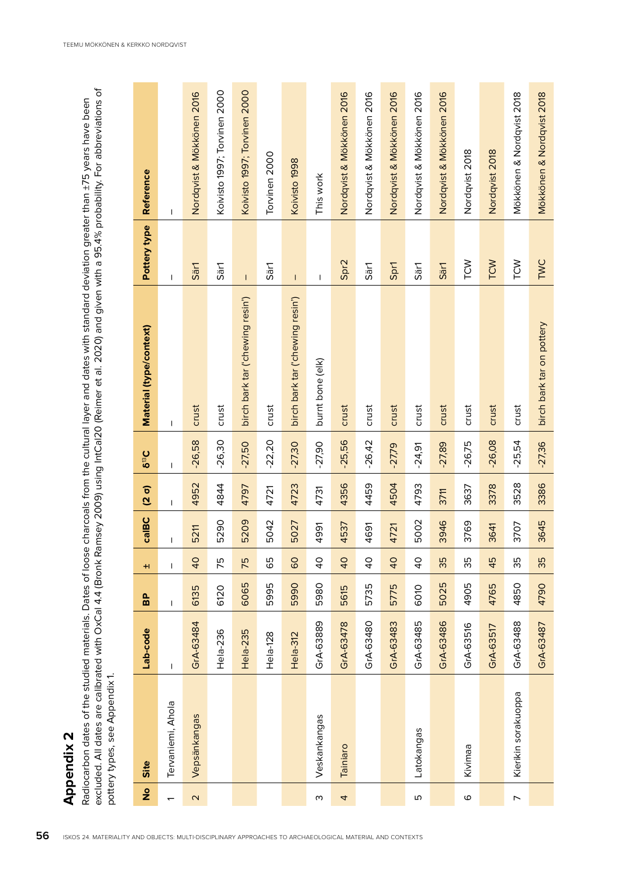| excluded. All dates are calibrated with OxCal 4.4 (Bronk Ramsey 2009) using IntCal20 (Reimer et al. 2020) and given with a 95.4% probability. For abbreviations of<br>Radiocarbon dates of the studied materials. Dates of loose charcoals from the cultural layer and dates with standard deviation greater than ±75 years have been<br>pottery types, see Appendix 1. |                     |                                    |      |                |       |              |           |                                  |                                                                                                                                                                                                                                                                                                                                                                                  |                              |
|-------------------------------------------------------------------------------------------------------------------------------------------------------------------------------------------------------------------------------------------------------------------------------------------------------------------------------------------------------------------------|---------------------|------------------------------------|------|----------------|-------|--------------|-----------|----------------------------------|----------------------------------------------------------------------------------------------------------------------------------------------------------------------------------------------------------------------------------------------------------------------------------------------------------------------------------------------------------------------------------|------------------------------|
| $\frac{1}{2}$                                                                                                                                                                                                                                                                                                                                                           | Site                | Lab-code                           | 96   | $\pm$          | calBC | $(2 \sigma)$ | $5^{13}C$ | Material (type/context)          | Pottery type                                                                                                                                                                                                                                                                                                                                                                     | Reference                    |
|                                                                                                                                                                                                                                                                                                                                                                         | Tervaniemi, Ahola   | I                                  | I    | T              | I     | I            | I         | I                                | I                                                                                                                                                                                                                                                                                                                                                                                | I                            |
| $\mathbf{\Omega}$                                                                                                                                                                                                                                                                                                                                                       | Vepsänkangas        | GrA-63484                          | 6135 | $\overline{a}$ | 5211  | 4952         | $-26,58$  | crust                            | Särl                                                                                                                                                                                                                                                                                                                                                                             | Nordqvist & Mökkönen 2016    |
|                                                                                                                                                                                                                                                                                                                                                                         |                     | Hela-236                           | 6120 | 75             | 5290  | 4844         | $-26,30$  | crust                            | Sär1                                                                                                                                                                                                                                                                                                                                                                             | Koivisto 1997; Torvinen 2000 |
|                                                                                                                                                                                                                                                                                                                                                                         |                     | 35<br>Hela-23                      | 6065 | 75             | 5209  | 4797         | $-27,50$  | birch bark tar ('chewing resin') | $\bar{1}$                                                                                                                                                                                                                                                                                                                                                                        | Koivisto 1997; Torvinen 2000 |
|                                                                                                                                                                                                                                                                                                                                                                         |                     | <u>დ</u><br>Hela-12                | 5995 | 65             | 5042  | 4721         | $-22,20$  | crust                            | Särl                                                                                                                                                                                                                                                                                                                                                                             | Torvinen 2000                |
|                                                                                                                                                                                                                                                                                                                                                                         |                     | $\overline{\mathbf{C}}$<br>Hela-31 | 5990 | 80             | 5027  | 4723         | $-27,30$  | birch bark tar ('chewing resin') | $\mathsf I$                                                                                                                                                                                                                                                                                                                                                                      | Koivisto 1998                |
| ω                                                                                                                                                                                                                                                                                                                                                                       | Veskankangas        | 889<br>GrA-63                      | 5980 | $\overline{0}$ | 4991  | 4731         | $-27,90$  | burnt bone (elk)                 | $\begin{array}{c} \rule{0pt}{2.5ex} \rule{0pt}{2.5ex} \rule{0pt}{2.5ex} \rule{0pt}{2.5ex} \rule{0pt}{2.5ex} \rule{0pt}{2.5ex} \rule{0pt}{2.5ex} \rule{0pt}{2.5ex} \rule{0pt}{2.5ex} \rule{0pt}{2.5ex} \rule{0pt}{2.5ex} \rule{0pt}{2.5ex} \rule{0pt}{2.5ex} \rule{0pt}{2.5ex} \rule{0pt}{2.5ex} \rule{0pt}{2.5ex} \rule{0pt}{2.5ex} \rule{0pt}{2.5ex} \rule{0pt}{2.5ex} \rule{0$ | This work                    |
| 4                                                                                                                                                                                                                                                                                                                                                                       | Tainiaro            | GrA-63478                          | 5615 | $\overline{0}$ | 4537  | 4356         | $-25,56$  | crust                            | Spr2                                                                                                                                                                                                                                                                                                                                                                             | Nordqvist & Mökkönen 2016    |
|                                                                                                                                                                                                                                                                                                                                                                         |                     | GrA-63480                          | 5735 | $\overline{0}$ | 4691  | 4459         | $-26,42$  | crust                            | Sär1                                                                                                                                                                                                                                                                                                                                                                             | Nordqvist & Mökkönen 2016    |
|                                                                                                                                                                                                                                                                                                                                                                         |                     | GrA-63483                          | 5775 | 40             | 4721  | 4504         | $-27,79$  | crust                            | Spr1                                                                                                                                                                                                                                                                                                                                                                             | Nordqvist & Mökkönen 2016    |
| Б                                                                                                                                                                                                                                                                                                                                                                       | Latokangas          | GrA-63485                          | 6010 | $\overline{6}$ | 5002  | 4793         | $-24,91$  | crust                            | Sär1                                                                                                                                                                                                                                                                                                                                                                             | Nordqvist & Mökkönen 2016    |
|                                                                                                                                                                                                                                                                                                                                                                         |                     | GrA-63486                          | 5025 | 35             | 3946  | 3711         | $-27,89$  | crust                            | Sär1                                                                                                                                                                                                                                                                                                                                                                             | Nordqvist & Mökkönen 2016    |
| $\circ$                                                                                                                                                                                                                                                                                                                                                                 | Kivimaa             | 516<br>Gr $A$ -63                  | 4905 | 35             | 3769  | 3637         | $-26,75$  | crust                            | TCW                                                                                                                                                                                                                                                                                                                                                                              | Nordqvist 2018               |
|                                                                                                                                                                                                                                                                                                                                                                         |                     | 517<br>$GrA-63$                    | 4765 | 45             | 3641  | 3378         | $-26,08$  | crust                            | TCW                                                                                                                                                                                                                                                                                                                                                                              | Nordqvist 2018               |
| $\overline{ }$                                                                                                                                                                                                                                                                                                                                                          | Kierikin sorakuoppa | GrA-63488                          | 4850 | 35             | 3707  | 3528         | $-25,54$  | crust                            | TCW                                                                                                                                                                                                                                                                                                                                                                              | Mökkönen & Nordqvist 2018    |
|                                                                                                                                                                                                                                                                                                                                                                         |                     | GrA-63487                          | 4790 | 35             | 3645  | 3386         | $-27,36$  | birch bark tar on pottery        | <b>TWC</b>                                                                                                                                                                                                                                                                                                                                                                       | Mökkönen & Nordqvist 2018    |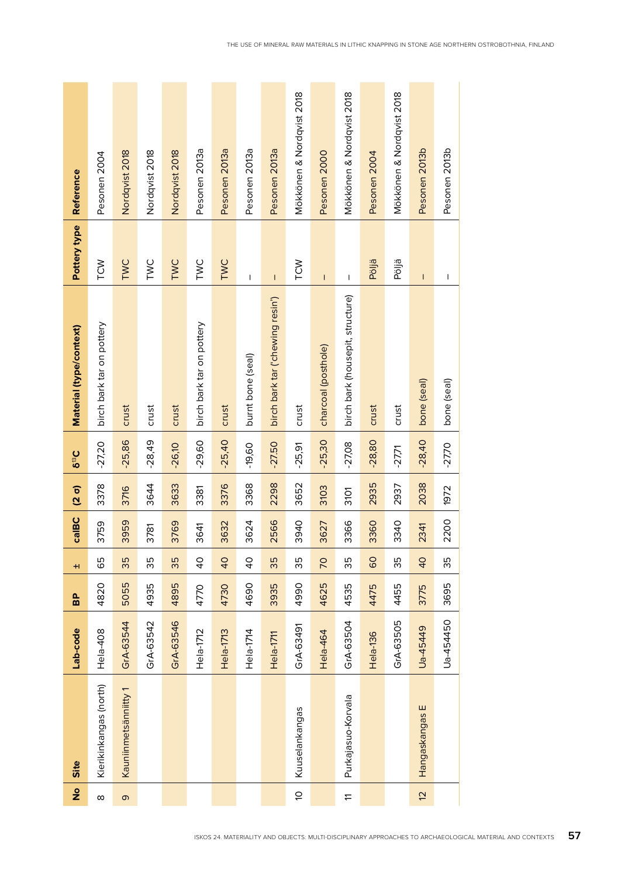| Reference               | Pesonen 2004              | Nordqvist 2018       | Nordqvist 2018 | Nordqvist 2018     | Pesonen 2013a             | Pesonen 2013a  | Pesonen 2013a                                                                                                                                                                                                                                                                                                                                                                    | Pesonen 2013a                                                                                                                                                                                                                                                                                                                                                                    | Mökkönen & Nordqvist 2018 | Pesonen 2000        | Mökkönen & Nordqvist 2018        | Pesonen 2004 | Mökkönen & Nordqvist 2018 | Pesonen 2013b  | Pesonen 2013b |
|-------------------------|---------------------------|----------------------|----------------|--------------------|---------------------------|----------------|----------------------------------------------------------------------------------------------------------------------------------------------------------------------------------------------------------------------------------------------------------------------------------------------------------------------------------------------------------------------------------|----------------------------------------------------------------------------------------------------------------------------------------------------------------------------------------------------------------------------------------------------------------------------------------------------------------------------------------------------------------------------------|---------------------------|---------------------|----------------------------------|--------------|---------------------------|----------------|---------------|
| Pottery type            | TCW                       | TWC                  | TWC            | TWC                | TWC                       | TWC            | $\begin{array}{c} \rule{0pt}{2.5ex} \rule{0pt}{2.5ex} \rule{0pt}{2.5ex} \rule{0pt}{2.5ex} \rule{0pt}{2.5ex} \rule{0pt}{2.5ex} \rule{0pt}{2.5ex} \rule{0pt}{2.5ex} \rule{0pt}{2.5ex} \rule{0pt}{2.5ex} \rule{0pt}{2.5ex} \rule{0pt}{2.5ex} \rule{0pt}{2.5ex} \rule{0pt}{2.5ex} \rule{0pt}{2.5ex} \rule{0pt}{2.5ex} \rule{0pt}{2.5ex} \rule{0pt}{2.5ex} \rule{0pt}{2.5ex} \rule{0$ | $\begin{array}{c} \rule{0pt}{2.5ex} \rule{0pt}{2.5ex} \rule{0pt}{2.5ex} \rule{0pt}{2.5ex} \rule{0pt}{2.5ex} \rule{0pt}{2.5ex} \rule{0pt}{2.5ex} \rule{0pt}{2.5ex} \rule{0pt}{2.5ex} \rule{0pt}{2.5ex} \rule{0pt}{2.5ex} \rule{0pt}{2.5ex} \rule{0pt}{2.5ex} \rule{0pt}{2.5ex} \rule{0pt}{2.5ex} \rule{0pt}{2.5ex} \rule{0pt}{2.5ex} \rule{0pt}{2.5ex} \rule{0pt}{2.5ex} \rule{0$ | TCW                       | $\mathsf{I}$        | I                                | Pöljä        | Pöljä                     | I              | I             |
| Material (type/context) | birch bark tar on pottery | crust                | crust          | crust              | birch bark tar on pottery | crust          | burnt bone (seal)                                                                                                                                                                                                                                                                                                                                                                | birch bark tar ('chewing resin')                                                                                                                                                                                                                                                                                                                                                 | crust                     | charcoal (posthole) | birch bark (housepit, structure) | crust        | crust                     | bone (seal)    | bone (seal)   |
| $5^{13}C$               | $-27,20$                  | $-25,86$             | $-28,49$       | $-26,10$           | $-29,60$                  | $-25,40$       | $-19,60$                                                                                                                                                                                                                                                                                                                                                                         | $-27.50$                                                                                                                                                                                                                                                                                                                                                                         | $-25,91$                  | $-25,30$            | $-27,08$                         | $-28,80$     | $-27,71$                  | $-28,40$       | $-27,70$      |
| $(2\sigma)$             | 3378                      | 3716                 | 3644           | 3633               | 3381                      | 3376           | 3368                                                                                                                                                                                                                                                                                                                                                                             | 2298                                                                                                                                                                                                                                                                                                                                                                             | 3652                      | 3103                | 3101                             | 2935         | 2937                      | 2038           | 1972          |
| calBC                   | 3759                      | 3959                 | 3781           | 3769               | 3641                      | 3632           | 3624                                                                                                                                                                                                                                                                                                                                                                             | 2566                                                                                                                                                                                                                                                                                                                                                                             | 3940                      | 3627                | 3366                             | 3360         | 3340                      | 2341           | 2200          |
| H                       | 65                        | 35                   | 35             | 35                 | $\overline{6}$            | $\overline{0}$ | $\overline{40}$                                                                                                                                                                                                                                                                                                                                                                  | 35                                                                                                                                                                                                                                                                                                                                                                               | 35                        | 70                  | 35                               | 60           | 35                        | 40             | 35            |
| 9.                      | 4820                      | 5055                 | 4935           | 4895               | 4770                      | 4730           | 4690                                                                                                                                                                                                                                                                                                                                                                             | 3935                                                                                                                                                                                                                                                                                                                                                                             | 4990                      | 4625                | 4535                             | 4475         | 4455                      | 3775           | 3695          |
| Lab-code                | œ<br>Hela-40              | GrA-63544            | GrA-63542      | 546<br>Gr $A$ -63! | Hela-1712                 | Hela-1713      | Hela-1714                                                                                                                                                                                                                                                                                                                                                                        | Hela-1711                                                                                                                                                                                                                                                                                                                                                                        | GrA-63491                 | Hela-464            | GrA-63504                        | Hela-136     | GrA-63505                 | Ua-45449       | Ua-454450     |
| Site                    | Kierikinkangas (north)    | Kauniinmetsänniitty1 |                |                    |                           |                |                                                                                                                                                                                                                                                                                                                                                                                  |                                                                                                                                                                                                                                                                                                                                                                                  | Kuuselankangas            |                     | Purkajasuo-Korvala               |              |                           | Hangaskangas E |               |
| ş                       | $\infty$                  | $\sigma$             |                |                    |                           |                |                                                                                                                                                                                                                                                                                                                                                                                  |                                                                                                                                                                                                                                                                                                                                                                                  | $\tilde{\sigma}$          |                     | $\pm$                            |              |                           | $\overline{5}$ |               |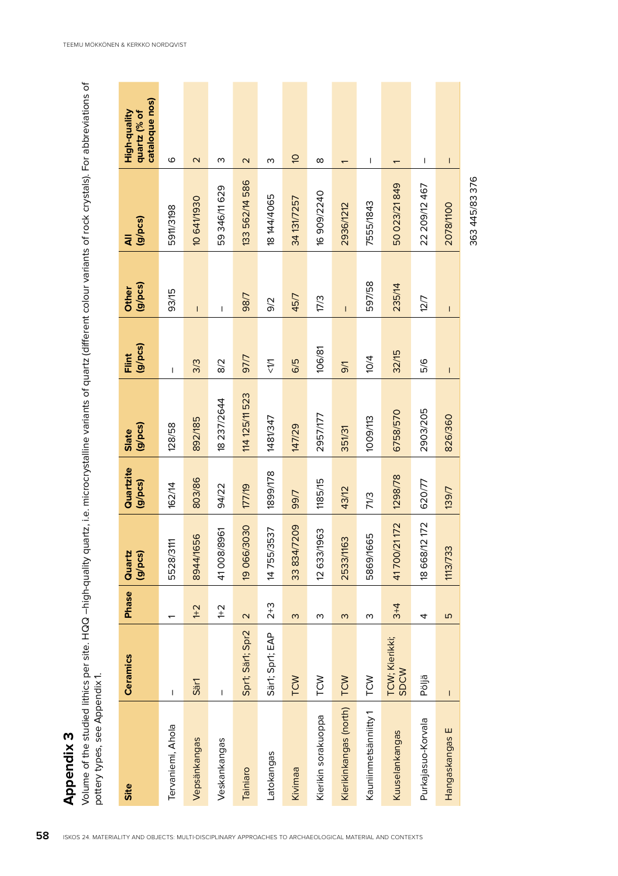| Volume of the studied lithics per site. HQQ -high-quality quartz, i.e. microcrystalline variants of quartz (different colour variants of rock crystals). For abbreviations of<br>pottery types, see Appendix 1.<br>Appendix 3 |                                                                                                                                                                                                                                                                                                                                                                                  |                         |                         |                      |                         |                                                                                                                                                                                                                                                                                                                                                                                  |                  |                    |                                                |
|-------------------------------------------------------------------------------------------------------------------------------------------------------------------------------------------------------------------------------|----------------------------------------------------------------------------------------------------------------------------------------------------------------------------------------------------------------------------------------------------------------------------------------------------------------------------------------------------------------------------------|-------------------------|-------------------------|----------------------|-------------------------|----------------------------------------------------------------------------------------------------------------------------------------------------------------------------------------------------------------------------------------------------------------------------------------------------------------------------------------------------------------------------------|------------------|--------------------|------------------------------------------------|
| Site                                                                                                                                                                                                                          | Ceramics                                                                                                                                                                                                                                                                                                                                                                         | Phase                   | Quartz<br>$(g$ / $pcs)$ | Quartzite<br>(g/pcs) | $(g$ / $pcs$ )<br>Slate | Flint<br>(g/pcs)                                                                                                                                                                                                                                                                                                                                                                 | (g/pcs)<br>Other | $(g$ / $pcs)$<br>₹ | cataloque nos)<br>High-quality<br>quartz (% of |
| Tervaniemi, Ahola                                                                                                                                                                                                             | I                                                                                                                                                                                                                                                                                                                                                                                |                         | 5528/3111               | 162/14               | 128/58                  | $\begin{array}{c} \rule{0pt}{2.5ex} \rule{0pt}{2.5ex} \rule{0pt}{2.5ex} \rule{0pt}{2.5ex} \rule{0pt}{2.5ex} \rule{0pt}{2.5ex} \rule{0pt}{2.5ex} \rule{0pt}{2.5ex} \rule{0pt}{2.5ex} \rule{0pt}{2.5ex} \rule{0pt}{2.5ex} \rule{0pt}{2.5ex} \rule{0pt}{2.5ex} \rule{0pt}{2.5ex} \rule{0pt}{2.5ex} \rule{0pt}{2.5ex} \rule{0pt}{2.5ex} \rule{0pt}{2.5ex} \rule{0pt}{2.5ex} \rule{0$ | 93/15            | 5911/3198          | $\circ$                                        |
| Vepsänkangas                                                                                                                                                                                                                  | Särl                                                                                                                                                                                                                                                                                                                                                                             | $1 + 2$                 | 8944/1656               | 803/86               | 892/185                 | 3/3                                                                                                                                                                                                                                                                                                                                                                              | $\mathsf{I}$     | 10641/1930         | $\mathbf{\Omega}$                              |
| Veskankangas                                                                                                                                                                                                                  | $\begin{array}{c} \rule{0pt}{2.5ex} \rule{0pt}{2.5ex} \rule{0pt}{2.5ex} \rule{0pt}{2.5ex} \rule{0pt}{2.5ex} \rule{0pt}{2.5ex} \rule{0pt}{2.5ex} \rule{0pt}{2.5ex} \rule{0pt}{2.5ex} \rule{0pt}{2.5ex} \rule{0pt}{2.5ex} \rule{0pt}{2.5ex} \rule{0pt}{2.5ex} \rule{0pt}{2.5ex} \rule{0pt}{2.5ex} \rule{0pt}{2.5ex} \rule{0pt}{2.5ex} \rule{0pt}{2.5ex} \rule{0pt}{2.5ex} \rule{0$ | $^{1+2}$                | 41008/8961              | 94/22                | 8 237/2644              | $\frac{2}{8}$                                                                                                                                                                                                                                                                                                                                                                    | $\sf I$          | 59 346/11 629      | w                                              |
| Tainiaro                                                                                                                                                                                                                      | Spr1; Sär1; Spr2                                                                                                                                                                                                                                                                                                                                                                 | $\overline{\mathsf{C}}$ | 19 066/3030             | 177/19               | 114 125/11 523          | <b>L/L6</b>                                                                                                                                                                                                                                                                                                                                                                      | 98/7             | 133 562/14 586     | $\mathbf{\Omega}$                              |
| Latokangas                                                                                                                                                                                                                    | Särt; Sprt; EAP                                                                                                                                                                                                                                                                                                                                                                  | $2 + 3$                 | 14755/3537              | 1899/178             | 1481/347                | $\frac{1}{2}$                                                                                                                                                                                                                                                                                                                                                                    | 9/2              | 18 144/4065        | ო                                              |
| Kivimaa                                                                                                                                                                                                                       | TCW                                                                                                                                                                                                                                                                                                                                                                              | $\omega$                | 33 834/7209             | 99/7                 | 147/29                  | 6/5                                                                                                                                                                                                                                                                                                                                                                              | 45/7             | 34 131/7257        | $\overline{a}$                                 |
| Kierikin sorakuoppa                                                                                                                                                                                                           | TCW                                                                                                                                                                                                                                                                                                                                                                              | w                       | 12 633/1963             | 1185/15              | 2957/177                | 106/81                                                                                                                                                                                                                                                                                                                                                                           | 17/3             | 16 90 9/2240       | ${}^{\circ}$                                   |
| Kierikinkangas (north)                                                                                                                                                                                                        | TCW                                                                                                                                                                                                                                                                                                                                                                              | $\omega$                | 2533/1163               | 43/12                | 351/31                  | $\sqrt{6}$                                                                                                                                                                                                                                                                                                                                                                       | $\overline{1}$   | 2936/1212          | $\overline{ }$                                 |
| Kauniinmetsänniitty 1                                                                                                                                                                                                         | TCW                                                                                                                                                                                                                                                                                                                                                                              | ო                       | 5869/1665               | 71/3                 | 1009/113                | 10/4                                                                                                                                                                                                                                                                                                                                                                             | 597/58           | 7555/1843          | I                                              |
| Kuuselankangas                                                                                                                                                                                                                | TCW; Kierikki;<br><b>SDCW</b>                                                                                                                                                                                                                                                                                                                                                    | $3+4$                   | 41700/21172             | 1298/78              | 6758/570                | 32/15                                                                                                                                                                                                                                                                                                                                                                            | 235/14           | 50 023/21 849      | $\overline{\phantom{0}}$                       |
| Purkajasuo-Korvala                                                                                                                                                                                                            | Pöljä                                                                                                                                                                                                                                                                                                                                                                            | 4                       | 18 668/12 172           | 620/77               | 2903/205                | 5/6                                                                                                                                                                                                                                                                                                                                                                              | 12/7             | 22 209/12 467      | I                                              |
| Hangaskangas E                                                                                                                                                                                                                | $\mathsf I$                                                                                                                                                                                                                                                                                                                                                                      | Б                       | 1113/733                | 139/7                | 826/360                 | L                                                                                                                                                                                                                                                                                                                                                                                | L                | 2078/100           | I                                              |
|                                                                                                                                                                                                                               |                                                                                                                                                                                                                                                                                                                                                                                  |                         |                         |                      |                         |                                                                                                                                                                                                                                                                                                                                                                                  |                  |                    |                                                |

363 445/83 376

363 445/83 376